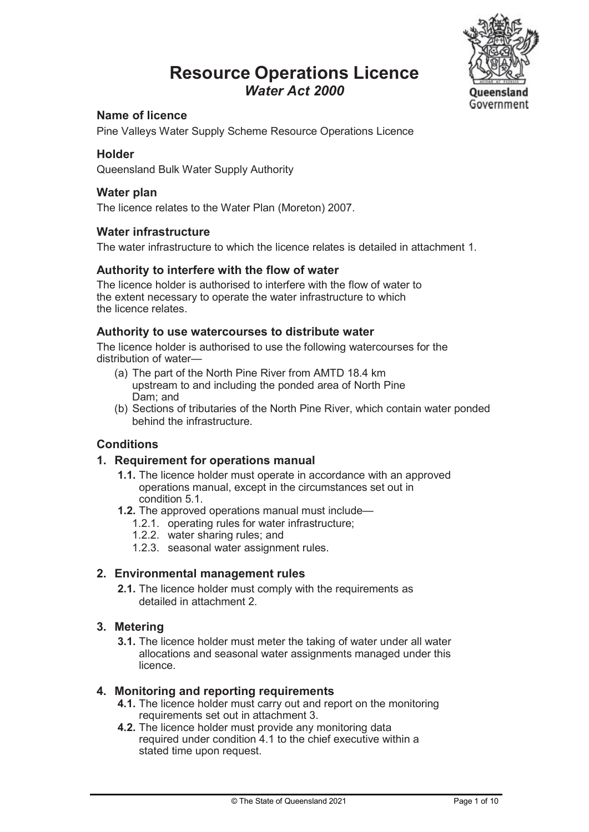### Resource Operations Licence Water Act 2000



#### Name of licence

Pine Valleys Water Supply Scheme Resource Operations Licence

#### Holder

Queensland Bulk Water Supply Authority

#### Water plan

The licence relates to the Water Plan (Moreton) 2007.

#### Water infrastructure

The water infrastructure to which the licence relates is detailed in attachment 1.

#### Authority to interfere with the flow of water

The licence holder is authorised to interfere with the flow of water to the extent necessary to operate the water infrastructure to which the licence relates.

#### Authority to use watercourses to distribute water

The licence holder is authorised to use the following watercourses for the distribution of water—

- (a) The part of the North Pine River from AMTD 18.4 km upstream to and including the ponded area of North Pine Dam; and
- (b) Sections of tributaries of the North Pine River, which contain water ponded behind the infrastructure.

#### **Conditions**

#### 1. Requirement for operations manual

- 1.1. The licence holder must operate in accordance with an approved operations manual, except in the circumstances set out in condition 5.1.
- 1.2. The approved operations manual must include—
	- 1.2.1. operating rules for water infrastructure;
	- 1.2.2. water sharing rules; and
	- 1.2.3. seasonal water assignment rules.

#### 2. Environmental management rules

2.1. The licence holder must comply with the requirements as detailed in attachment 2.

#### 3. Metering

3.1. The licence holder must meter the taking of water under all water allocations and seasonal water assignments managed under this licence.

#### 4. Monitoring and reporting requirements

- 4.1. The licence holder must carry out and report on the monitoring requirements set out in attachment 3.
- 4.2. The licence holder must provide any monitoring data required under condition 4.1 to the chief executive within a stated time upon request.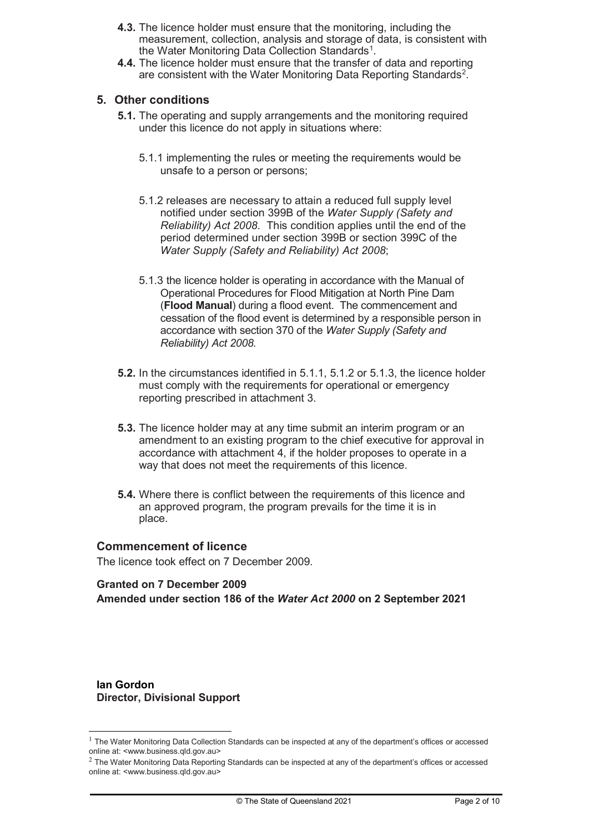- 4.3. The licence holder must ensure that the monitoring, including the measurement, collection, analysis and storage of data, is consistent with the Water Monitoring Data Collection Standards<sup>1</sup>.
- 4.4. The licence holder must ensure that the transfer of data and reporting are consistent with the Water Monitoring Data Reporting Standards<sup>2</sup>.

#### 5. Other conditions

- 5.1. The operating and supply arrangements and the monitoring required under this licence do not apply in situations where:
	- 5.1.1 implementing the rules or meeting the requirements would be unsafe to a person or persons;
	- 5.1.2 releases are necessary to attain a reduced full supply level notified under section 399B of the Water Supply (Safety and Reliability) Act 2008. This condition applies until the end of the period determined under section 399B or section 399C of the Water Supply (Safety and Reliability) Act 2008;
	- 5.1.3 the licence holder is operating in accordance with the Manual of Operational Procedures for Flood Mitigation at North Pine Dam (Flood Manual) during a flood event. The commencement and cessation of the flood event is determined by a responsible person in accordance with section 370 of the Water Supply (Safety and Reliability) Act 2008.
- 5.2. In the circumstances identified in 5.1.1, 5.1.2 or 5.1.3, the licence holder must comply with the requirements for operational or emergency reporting prescribed in attachment 3.
- 5.3. The licence holder may at any time submit an interim program or an amendment to an existing program to the chief executive for approval in accordance with attachment 4, if the holder proposes to operate in a way that does not meet the requirements of this licence.
- 5.4. Where there is conflict between the requirements of this licence and an approved program, the program prevails for the time it is in place.

#### Commencement of licence

The licence took effect on 7 December 2009.

#### Granted on 7 December 2009

Amended under section 186 of the Water Act 2000 on 2 September 2021

Ian Gordon Director, Divisional Support

<sup>&</sup>lt;sup>1</sup> The Water Monitoring Data Collection Standards can be inspected at any of the department's offices or accessed online at: <www.business.qld.gov.au>

 $2$  The Water Monitoring Data Reporting Standards can be inspected at any of the department's offices or accessed online at: <www.business.qld.gov.au>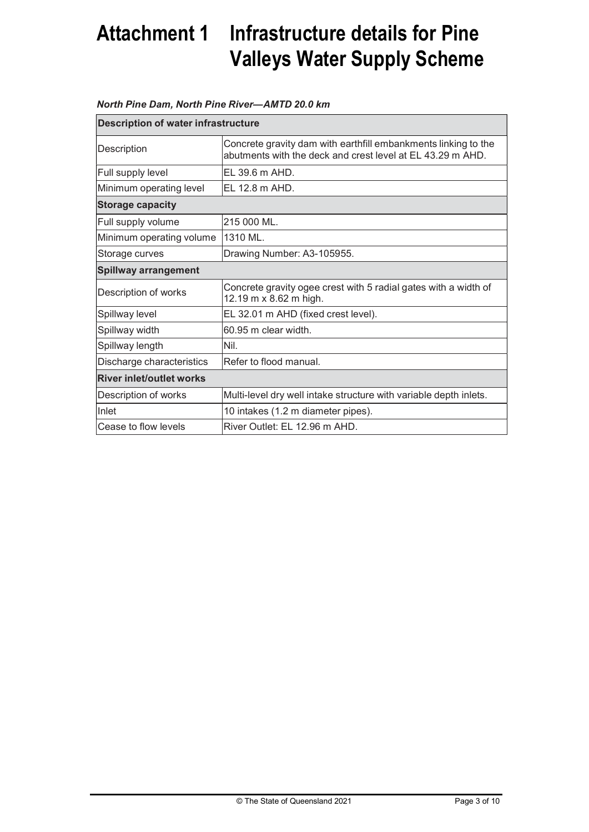## Attachment 1 Infrastructure details for Pine Valleys Water Supply Scheme

#### North Pine Dam, North Pine River—AMTD 20.0 km

| <b>Description of water infrastructure</b> |                                                                                                                              |  |  |
|--------------------------------------------|------------------------------------------------------------------------------------------------------------------------------|--|--|
| Description                                | Concrete gravity dam with earthfill embankments linking to the<br>abutments with the deck and crest level at EL 43.29 m AHD. |  |  |
| Full supply level                          | EL 39.6 m AHD.                                                                                                               |  |  |
| Minimum operating level                    | EL 12.8 m AHD.                                                                                                               |  |  |
| <b>Storage capacity</b>                    |                                                                                                                              |  |  |
| Full supply volume                         | 215 000 ML.                                                                                                                  |  |  |
| Minimum operating volume                   | 1310 ML.                                                                                                                     |  |  |
| Storage curves                             | Drawing Number: A3-105955.                                                                                                   |  |  |
| <b>Spillway arrangement</b>                |                                                                                                                              |  |  |
| Description of works                       | Concrete gravity ogee crest with 5 radial gates with a width of<br>12.19 m x 8.62 m high.                                    |  |  |
| Spillway level                             | EL 32.01 m AHD (fixed crest level).                                                                                          |  |  |
| Spillway width                             | 60.95 m clear width.                                                                                                         |  |  |
| Spillway length                            | Nil.                                                                                                                         |  |  |
| Discharge characteristics                  | Refer to flood manual.                                                                                                       |  |  |
| <b>River inlet/outlet works</b>            |                                                                                                                              |  |  |
| Description of works                       | Multi-level dry well intake structure with variable depth inlets.                                                            |  |  |
| Inlet                                      | 10 intakes (1.2 m diameter pipes).                                                                                           |  |  |
| Cease to flow levels                       | River Outlet: EL 12.96 m AHD.                                                                                                |  |  |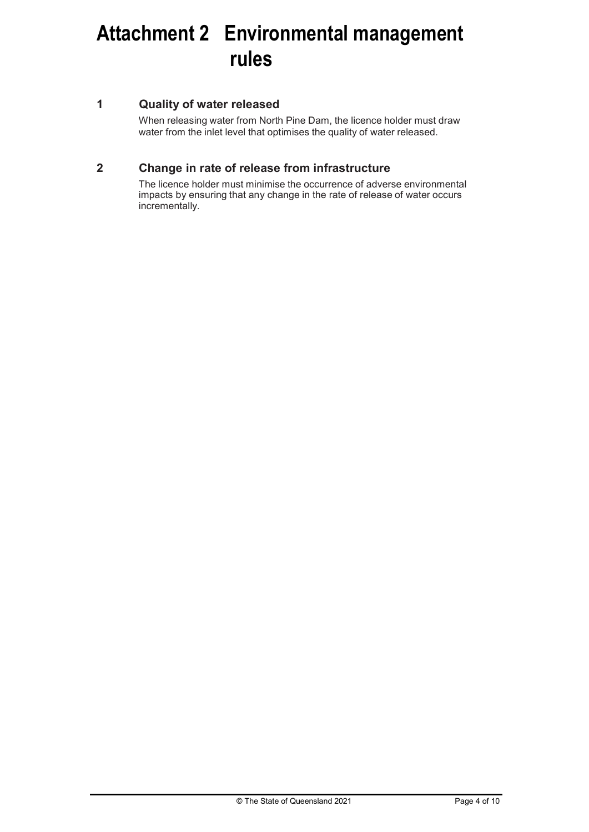## Attachment 2 Environmental management rules

#### 1 Quality of water released

When releasing water from North Pine Dam, the licence holder must draw water from the inlet level that optimises the quality of water released.

#### 2 Change in rate of release from infrastructure

The licence holder must minimise the occurrence of adverse environmental impacts by ensuring that any change in the rate of release of water occurs incrementally.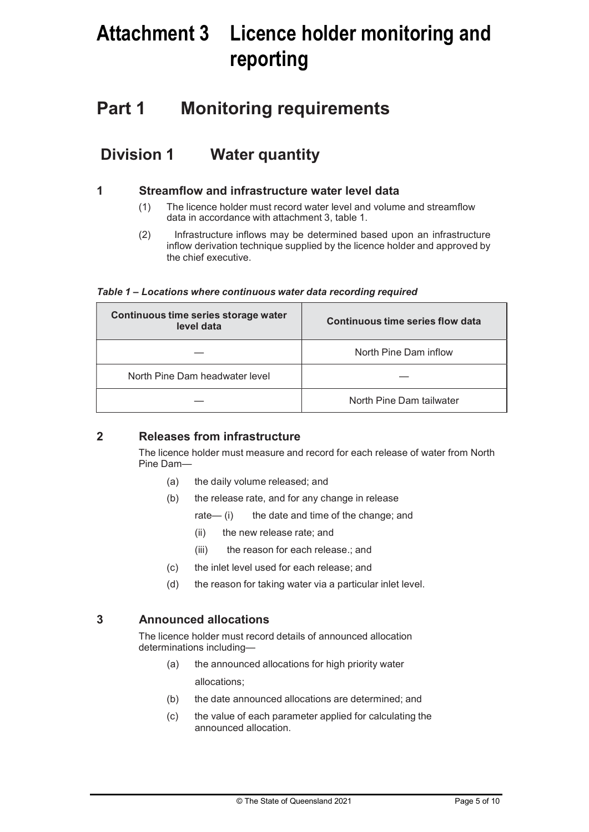## Attachment 3 Licence holder monitoring and reporting

## Part 1 Monitoring requirements

### Division 1 Water quantity

#### 1 Streamflow and infrastructure water level data

- (1) The licence holder must record water level and volume and streamflow data in accordance with attachment 3, table 1.
- (2) Infrastructure inflows may be determined based upon an infrastructure inflow derivation technique supplied by the licence holder and approved by the chief executive.

| Table 1 – Locations where continuous water data recording required |  |
|--------------------------------------------------------------------|--|
|--------------------------------------------------------------------|--|

| Continuous time series storage water<br>level data | Continuous time series flow data |
|----------------------------------------------------|----------------------------------|
|                                                    | North Pine Dam inflow            |
| North Pine Dam headwater level                     |                                  |
|                                                    | North Pine Dam tailwater         |

#### 2 Releases from infrastructure

The licence holder must measure and record for each release of water from North Pine Dam—

- (a) the daily volume released; and
- (b) the release rate, and for any change in release
	- rate— (i) the date and time of the change; and
		- (ii) the new release rate; and
		- (iii) the reason for each release.; and
- (c) the inlet level used for each release; and
- (d) the reason for taking water via a particular inlet level.

#### 3 Announced allocations

The licence holder must record details of announced allocation determinations including—

- (a) the announced allocations for high priority water allocations;
- (b) the date announced allocations are determined; and
- (c) the value of each parameter applied for calculating the announced allocation.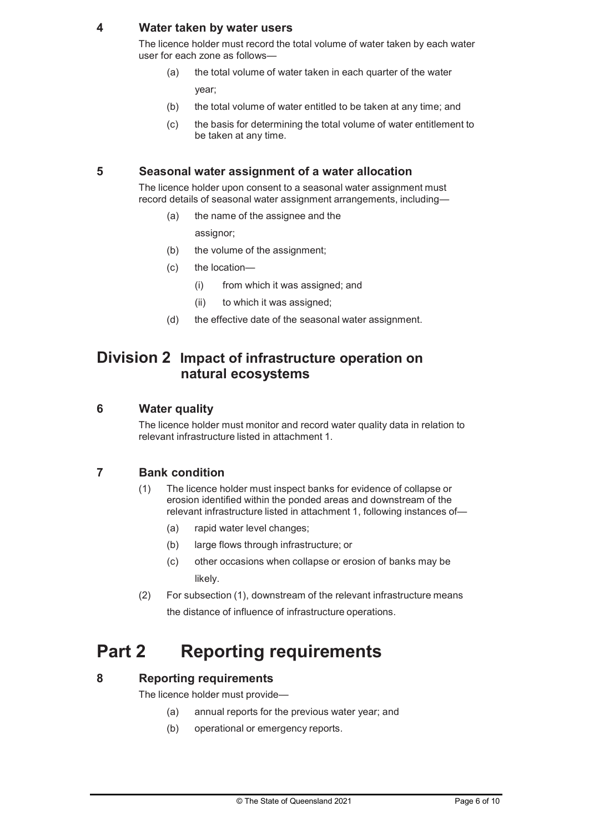#### 4 Water taken by water users

The licence holder must record the total volume of water taken by each water user for each zone as follows—

- (a) the total volume of water taken in each quarter of the water year;
- (b) the total volume of water entitled to be taken at any time; and
- (c) the basis for determining the total volume of water entitlement to be taken at any time.

#### 5 Seasonal water assignment of a water allocation

The licence holder upon consent to a seasonal water assignment must record details of seasonal water assignment arrangements, including—

(a) the name of the assignee and the

assignor;

- (b) the volume of the assignment;
- (c) the location—
	- (i) from which it was assigned; and
	- (ii) to which it was assigned;
- (d) the effective date of the seasonal water assignment.

#### Division 2 Impact of infrastructure operation on natural ecosystems

#### 6 Water quality

The licence holder must monitor and record water quality data in relation to relevant infrastructure listed in attachment 1.

#### 7 Bank condition

- (1) The licence holder must inspect banks for evidence of collapse or erosion identified within the ponded areas and downstream of the relevant infrastructure listed in attachment 1, following instances of—
	- (a) rapid water level changes;
	- (b) large flows through infrastructure; or
	- (c) other occasions when collapse or erosion of banks may be likely.
- (2) For subsection (1), downstream of the relevant infrastructure means the distance of influence of infrastructure operations.

## Part 2 Reporting requirements

#### 8 Reporting requirements

The licence holder must provide—

- (a) annual reports for the previous water year; and
- (b) operational or emergency reports.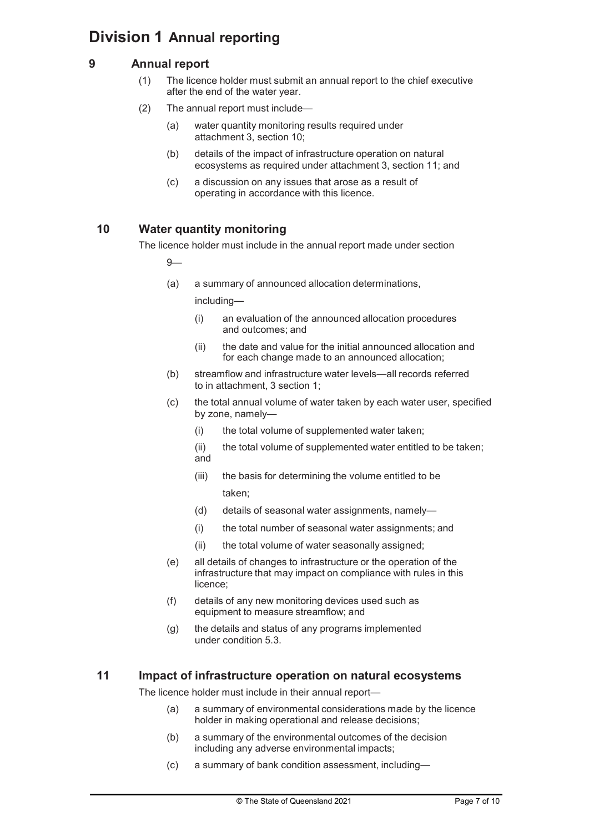### Division 1 Annual reporting

#### 9 Annual report

- (1) The licence holder must submit an annual report to the chief executive after the end of the water year.
- (2) The annual report must include—
	- (a) water quantity monitoring results required under attachment 3, section 10;
	- (b) details of the impact of infrastructure operation on natural ecosystems as required under attachment 3, section 11; and
	- (c) a discussion on any issues that arose as a result of operating in accordance with this licence.

#### 10 Water quantity monitoring

The licence holder must include in the annual report made under section

9—

(a) a summary of announced allocation determinations,

including—

- (i) an evaluation of the announced allocation procedures and outcomes; and
- (ii) the date and value for the initial announced allocation and for each change made to an announced allocation;
- (b) streamflow and infrastructure water levels—all records referred to in attachment, 3 section 1;
- (c) the total annual volume of water taken by each water user, specified by zone, namely—
	- (i) the total volume of supplemented water taken;
	- (ii) the total volume of supplemented water entitled to be taken; and
	- (iii) the basis for determining the volume entitled to be taken;
	- (d) details of seasonal water assignments, namely-
	- (i) the total number of seasonal water assignments; and
	- (ii) the total volume of water seasonally assigned;
- (e) all details of changes to infrastructure or the operation of the infrastructure that may impact on compliance with rules in this licence;
- (f) details of any new monitoring devices used such as equipment to measure streamflow; and
- (g) the details and status of any programs implemented under condition 5.3.

#### 11 Impact of infrastructure operation on natural ecosystems

The licence holder must include in their annual report—

- (a) a summary of environmental considerations made by the licence holder in making operational and release decisions;
- (b) a summary of the environmental outcomes of the decision including any adverse environmental impacts;
- (c) a summary of bank condition assessment, including—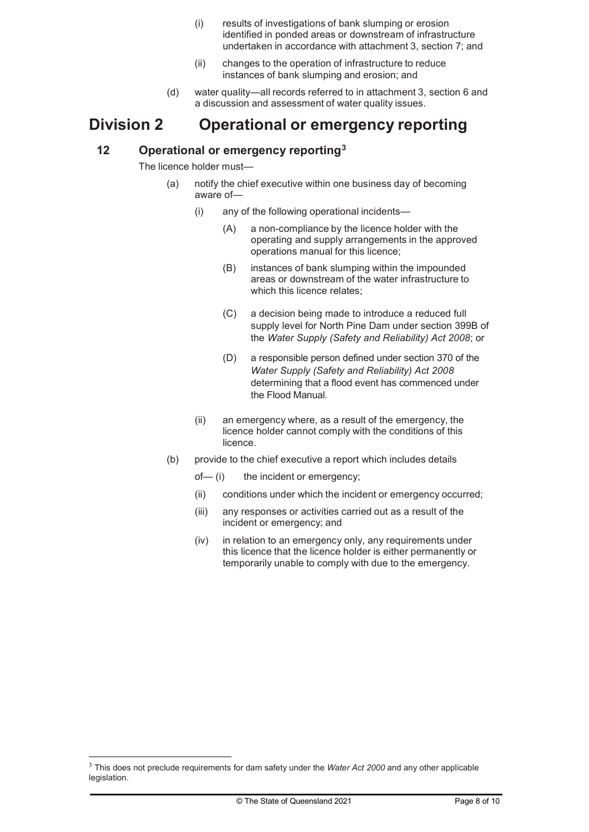- (i) results of investigations of bank slumping or erosion identified in ponded areas or downstream of infrastructure undertaken in accordance with attachment 3, section 7; and
- (ii) changes to the operation of infrastructure to reduce instances of bank slumping and erosion; and
- (d) water quality—all records referred to in attachment 3, section 6 and a discussion and assessment of water quality issues.

### Division 2 Operational or emergency reporting

#### 12 Operational or emergency reporting<sup>3</sup>

The licence holder must—

- (a) notify the chief executive within one business day of becoming aware of—
	- (i) any of the following operational incidents—
		- (A) a non-compliance by the licence holder with the operating and supply arrangements in the approved operations manual for this licence;
		- (B) instances of bank slumping within the impounded areas or downstream of the water infrastructure to which this licence relates;
		- (C) a decision being made to introduce a reduced full supply level for North Pine Dam under section 399B of the Water Supply (Safety and Reliability) Act 2008; or
		- (D) a responsible person defined under section 370 of the Water Supply (Safety and Reliability) Act 2008 determining that a flood event has commenced under the Flood Manual.
	- (ii) an emergency where, as a result of the emergency, the licence holder cannot comply with the conditions of this licence.
- (b) provide to the chief executive a report which includes details
	- of— (i) the incident or emergency;
	- (ii) conditions under which the incident or emergency occurred;
	- (iii) any responses or activities carried out as a result of the incident or emergency; and
	- (iv) in relation to an emergency only, any requirements under this licence that the licence holder is either permanently or temporarily unable to comply with due to the emergency.

<sup>&</sup>lt;sup>3</sup> This does not preclude requirements for dam safety under the Water Act 2000 and any other applicable legislation.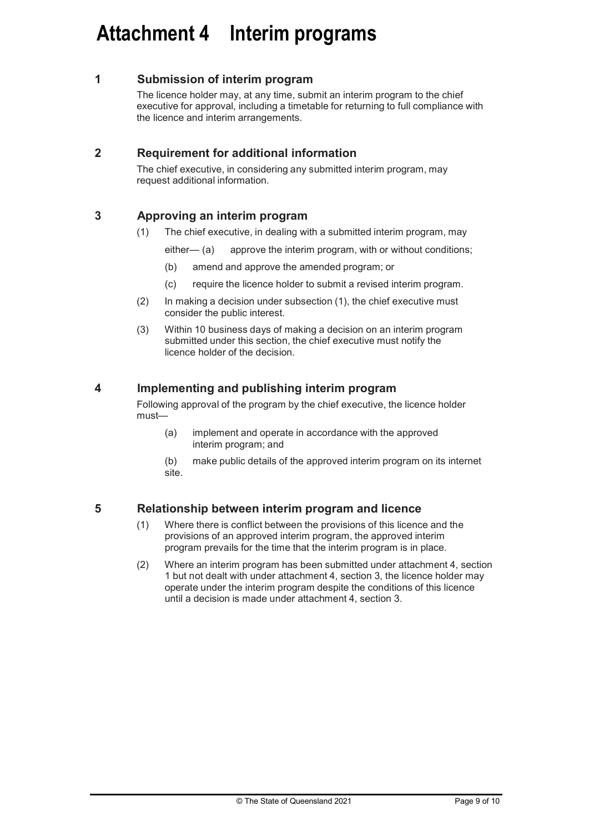## Attachment 4 Interim programs

#### 1 Submission of interim program

The licence holder may, at any time, submit an interim program to the chief executive for approval, including a timetable for returning to full compliance with the licence and interim arrangements.

#### 2 Requirement for additional information

The chief executive, in considering any submitted interim program, may request additional information.

#### 3 Approving an interim program

(1) The chief executive, in dealing with a submitted interim program, may

either— (a) approve the interim program, with or without conditions;

- (b) amend and approve the amended program; or
- (c) require the licence holder to submit a revised interim program.
- (2) In making a decision under subsection (1), the chief executive must consider the public interest.
- (3) Within 10 business days of making a decision on an interim program submitted under this section, the chief executive must notify the licence holder of the decision.

#### 4 Implementing and publishing interim program

Following approval of the program by the chief executive, the licence holder must—

(a) implement and operate in accordance with the approved interim program; and

(b) make public details of the approved interim program on its internet site.

#### 5 Relationship between interim program and licence

- (1) Where there is conflict between the provisions of this licence and the provisions of an approved interim program, the approved interim program prevails for the time that the interim program is in place.
- (2) Where an interim program has been submitted under attachment 4, section 1 but not dealt with under attachment 4, section 3, the licence holder may operate under the interim program despite the conditions of this licence until a decision is made under attachment 4, section 3.